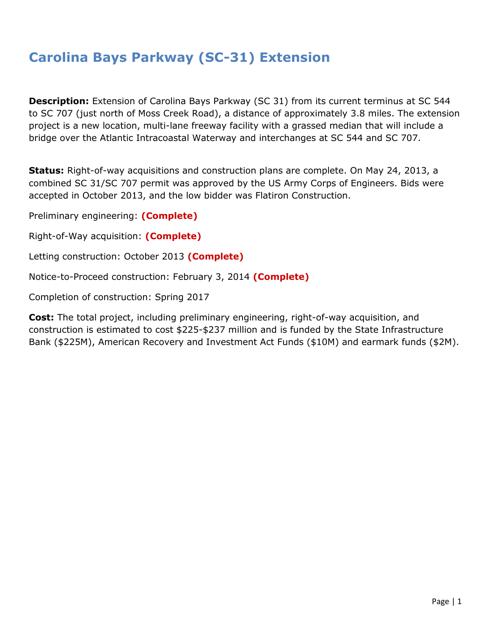## **Carolina Bays Parkway (SC-31) Extension**

**Description:** Extension of Carolina Bays Parkway (SC 31) from its current terminus at SC 544 to SC 707 (just north of Moss Creek Road), a distance of approximately 3.8 miles. The extension project is a new location, multi-lane freeway facility with a grassed median that will include a bridge over the Atlantic Intracoastal Waterway and interchanges at SC 544 and SC 707.

**Status:** Right-of-way acquisitions and construction plans are complete. On May 24, 2013, a combined SC 31/SC 707 permit was approved by the US Army Corps of Engineers. Bids were accepted in October 2013, and the low bidder was Flatiron Construction.

Preliminary engineering: **(Complete)**

Right-of-Way acquisition: **(Complete)**

Letting construction: October 2013 **(Complete)**

Notice-to-Proceed construction: February 3, 2014 **(Complete)**

Completion of construction: Spring 2017

**Cost:** The total project, including preliminary engineering, right-of-way acquisition, and construction is estimated to cost \$225-\$237 million and is funded by the State Infrastructure Bank (\$225M), American Recovery and Investment Act Funds (\$10M) and earmark funds (\$2M).